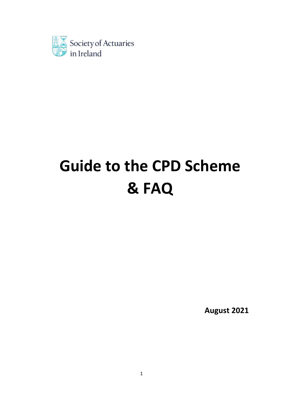

# **Guide to the CPD Scheme & FAQ**

**August 2021**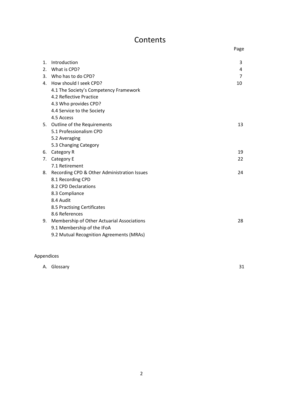# **Contents**

|         |                                             | Page |
|---------|---------------------------------------------|------|
|         |                                             |      |
| $1_{-}$ | Introduction                                | 3    |
| 2.      | What is CPD?                                | 4    |
|         | 3. Who has to do CPD?                       | 7    |
|         | 4. How should I seek CPD?                   | 10   |
|         | 4.1 The Society's Competency Framework      |      |
|         | 4.2 Reflective Practice                     |      |
|         | 4.3 Who provides CPD?                       |      |
|         | 4.4 Service to the Society                  |      |
|         | 4.5 Access                                  |      |
|         | 5. Outline of the Requirements              | 13   |
|         | 5.1 Professionalism CPD                     |      |
|         | 5.2 Averaging                               |      |
|         | 5.3 Changing Category                       |      |
| 6.      | Category R                                  | 19   |
| 7.      | Category E                                  | 22   |
|         | 7.1 Retirement                              |      |
| 8.      | Recording CPD & Other Administration Issues | 24   |
|         | 8.1 Recording CPD                           |      |
|         | 8.2 CPD Declarations                        |      |
|         | 8.3 Compliance                              |      |
|         | 8.4 Audit                                   |      |
|         | 8.5 Practising Certificates                 |      |
|         | 8.6 References                              |      |
| 9.      | Membership of Other Actuarial Associations  | 28   |
|         | 9.1 Membership of the IFoA                  |      |
|         | 9.2 Mutual Recognition Agreements (MRAs)    |      |
|         |                                             |      |

## Appendices

| าง |
|----|
|    |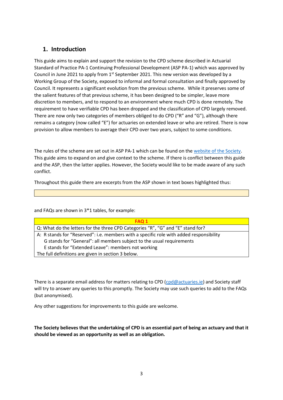## **1. Introduction**

This guide aims to explain and support the revision to the CPD scheme described in Actuarial Standard of Practice PA-1 Continuing Professional Development (ASP PA-1) which was approved by Council in June 2021 to apply from  $1<sup>st</sup>$  September 2021. This new version was developed by a Working Group of the Society, exposed to informal and formal consultation and finally approved by Council. It represents a significant evolution from the previous scheme. While it preserves some of the salient features of that previous scheme, it has been designed to be simpler, leave more discretion to members, and to respond to an environment where much CPD is done remotely. The requirement to have verifiable CPD has been dropped and the classification of CPD largely removed. There are now only two categories of members obliged to do CPD ("R" and "G"), although there remains a category (now called "E") for actuaries on extended leave or who are retired. There is now provision to allow members to average their CPD over two years, subject to some conditions.

The rules of the scheme are set out in ASP PA-1 which can be found on th[e website of the Society.](https://web.actuaries.ie/sites/default/files/asp/ASP%20PA-1/ASP%20PA-1%20v2.0%20%283%29.pdf) This guide aims to expand on and give context to the scheme. If there is conflict between this guide and the ASP, then the latter applies. However, the Society would like to be made aware of any such conflict.

Throughout this guide there are excerpts from the ASP shown in text boxes highlighted thus:

and FAQs are shown in 3\*1 tables, for example:

| <b>FAQ 1</b>                                                                            |
|-----------------------------------------------------------------------------------------|
| Q: What do the letters for the three CPD Categories "R", "G" and "E" stand for?         |
| A: R stands for "Reserved": i.e. members with a specific role with added responsibility |
| G stands for "General": all members subject to the usual requirements                   |
| E stands for "Extended Leave": members not working                                      |
| The full definitions are given in section 3 below.                                      |

There is a separate email address for matters relating to CPD [\(cpd@actuaries.ie\)](mailto:cpd@actuaries.ie) and Society staff will try to answer any queries to this promptly. The Society may use such queries to add to the FAQs (but anonymised).

Any other suggestions for improvements to this guide are welcome.

**The Society believes that the undertaking of CPD is an essential part of being an actuary and that it should be viewed as an opportunity as well as an obligation.**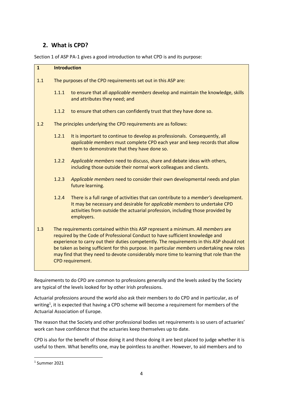## **2. What is CPD?**

Section 1 of ASP PA-1 gives a good introduction to what CPD is and its purpose:

| $\mathbf{1}$ | <b>Introduction</b>                                                                                                                                                                                                                                                                                                                                                                                                                                                               |                                                                                                                                                                                                                                                                       |
|--------------|-----------------------------------------------------------------------------------------------------------------------------------------------------------------------------------------------------------------------------------------------------------------------------------------------------------------------------------------------------------------------------------------------------------------------------------------------------------------------------------|-----------------------------------------------------------------------------------------------------------------------------------------------------------------------------------------------------------------------------------------------------------------------|
| 1.1          | The purposes of the CPD requirements set out in this ASP are:                                                                                                                                                                                                                                                                                                                                                                                                                     |                                                                                                                                                                                                                                                                       |
|              | 1.1.1                                                                                                                                                                                                                                                                                                                                                                                                                                                                             | to ensure that all applicable members develop and maintain the knowledge, skills<br>and attributes they need; and                                                                                                                                                     |
|              | 1.1.2                                                                                                                                                                                                                                                                                                                                                                                                                                                                             | to ensure that others can confidently trust that they have done so.                                                                                                                                                                                                   |
| 1.2          | The principles underlying the CPD requirements are as follows:                                                                                                                                                                                                                                                                                                                                                                                                                    |                                                                                                                                                                                                                                                                       |
|              | 1.2.1                                                                                                                                                                                                                                                                                                                                                                                                                                                                             | It is important to continue to develop as professionals. Consequently, all<br>applicable members must complete CPD each year and keep records that allow<br>them to demonstrate that they have done so.                                                               |
|              | 1.2.2                                                                                                                                                                                                                                                                                                                                                                                                                                                                             | Applicable members need to discuss, share and debate ideas with others,<br>including those outside their normal work colleagues and clients.                                                                                                                          |
|              | 1.2.3                                                                                                                                                                                                                                                                                                                                                                                                                                                                             | Applicable members need to consider their own developmental needs and plan<br>future learning.                                                                                                                                                                        |
|              | 1.2.4                                                                                                                                                                                                                                                                                                                                                                                                                                                                             | There is a full range of activities that can contribute to a <i>member's</i> development.<br>It may be necessary and desirable for applicable members to undertake CPD<br>activities from outside the actuarial profession, including those provided by<br>employers. |
| 1.3          | The requirements contained within this ASP represent a minimum. All <i>members</i> are<br>required by the Code of Professional Conduct to have sufficient knowledge and<br>experience to carry out their duties competently. The requirements in this ASP should not<br>be taken as being sufficient for this purpose. In particular members undertaking new roles<br>may find that they need to devote considerably more time to learning that role than the<br>CPD requirement. |                                                                                                                                                                                                                                                                       |

Requirements to do CPD are common to professions generally and the levels asked by the Society are typical of the levels looked for by other Irish professions.

Actuarial professions around the world also ask their members to do CPD and in particular, as of writing<sup>1</sup>, it is expected that having a CPD scheme will become a requirement for members of the Actuarial Association of Europe.

The reason that the Society and other professional bodies set requirements is so users of actuaries' work can have confidence that the actuaries keep themselves up to date.

CPD is also for the benefit of those doing it and those doing it are best placed to judge whether it is useful to them. What benefits one, may be pointless to another. However, to aid members and to

<sup>1</sup> Summer 2021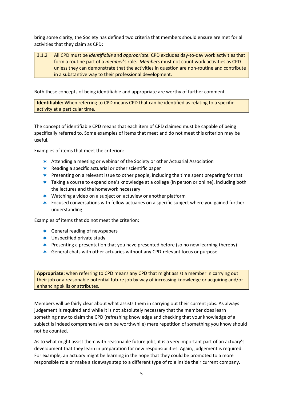bring some clarity, the Society has defined two criteria that members should ensure are met for all activities that they claim as CPD:

#### 3.1.2 All CPD must be *identifiable* and *appropriate.* CPD excludes day-to-day work activities that form a routine part of a *member*'s role. *Members* must not count work activities as CPD unless they can demonstrate that the activities in question are non-routine and contribute in a substantive way to their professional development.

Both these concepts of being identifiable and appropriate are worthy of further comment.

**Identifiable:** When referring to CPD means CPD that can be identified as relating to a specific activity at a particular time.

The concept of identifiable CPD means that each item of CPD claimed must be capable of being specifically referred to. Some examples of items that meet and do not meet this criterion may be useful.

Examples of items that meet the criterion:

- Attending a meeting or webinar of the Society or other Actuarial Association
- $\star$  Reading a specific actuarial or other scientific paper
- **\*** Presenting on a relevant issue to other people, including the time spent preparing for that
- Taking a course to expand one's knowledge at a college (in person or online), including both the lectures and the homework necessary
- $*$  Watching a video on a subject on actuview or another platform
- **★** Focused conversations with fellow actuaries on a specific subject where you gained further understanding

Examples of items that do not meet the criterion:

- $\star$  General reading of newspapers
- \* Unspecified private study
- **\*** Presenting a presentation that you have presented before (so no new learning thereby)
- General chats with other actuaries without any CPD-relevant focus or purpose

**Appropriate:** when referring to CPD means any CPD that might assist a member in carrying out their job or a reasonable potential future job by way of increasing knowledge or acquiring and/or enhancing skills or attributes.

Members will be fairly clear about what assists them in carrying out their current jobs. As always judgement is required and while it is not absolutely necessary that the member does learn something new to claim the CPD (refreshing knowledge and checking that your knowledge of a subject is indeed comprehensive can be worthwhile) mere repetition of something you know should not be counted.

As to what might assist them with reasonable future jobs, it is a very important part of an actuary's development that they learn in preparation for new responsibilities. Again, judgement is required. For example, an actuary might be learning in the hope that they could be promoted to a more responsible role or make a sideways step to a different type of role inside their current company.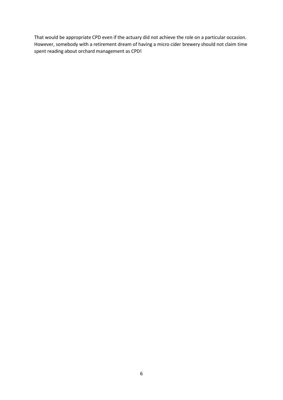That would be appropriate CPD even if the actuary did not achieve the role on a particular occasion. However, somebody with a retirement dream of having a micro cider brewery should not claim time spent reading about orchard management as CPD!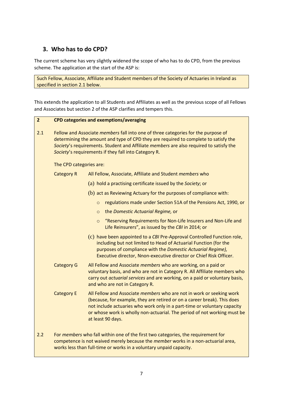## **3. Who has to do CPD?**

The current scheme has very slightly widened the scope of who has to do CPD, from the previous scheme. The application at the start of the ASP is:

Such Fellow, Associate, Affiliate and Student members of the Society of Actuaries in Ireland as specified in section 2.1 below.

This extends the application to all Students and Affiliates as well as the previous scope of all Fellows and Associates but section 2 of the ASP clarifies and tempers this.

#### **2 CPD categories and exemptions/averaging**

| 2.1 | Fellow and Associate members fall into one of three categories for the purpose of<br>determining the amount and type of CPD they are required to complete to satisfy the<br>Society's requirements. Student and Affiliate members are also required to satisfy the<br>Society's requirements if they fall into Category R. |                                                                                                                                                                                                                                                                                                                               |  |  |
|-----|----------------------------------------------------------------------------------------------------------------------------------------------------------------------------------------------------------------------------------------------------------------------------------------------------------------------------|-------------------------------------------------------------------------------------------------------------------------------------------------------------------------------------------------------------------------------------------------------------------------------------------------------------------------------|--|--|
|     | The CPD categories are:                                                                                                                                                                                                                                                                                                    |                                                                                                                                                                                                                                                                                                                               |  |  |
|     | <b>Category R</b>                                                                                                                                                                                                                                                                                                          | All Fellow, Associate, Affiliate and Student members who                                                                                                                                                                                                                                                                      |  |  |
|     |                                                                                                                                                                                                                                                                                                                            | (a) hold a practising certificate issued by the Society; or                                                                                                                                                                                                                                                                   |  |  |
|     |                                                                                                                                                                                                                                                                                                                            | (b) act as Reviewing Actuary for the purposes of compliance with:                                                                                                                                                                                                                                                             |  |  |
|     |                                                                                                                                                                                                                                                                                                                            | regulations made under Section 51A of the Pensions Act, 1990, or<br>$\circ$                                                                                                                                                                                                                                                   |  |  |
|     |                                                                                                                                                                                                                                                                                                                            | the Domestic Actuarial Regime, or<br>$\circ$                                                                                                                                                                                                                                                                                  |  |  |
|     |                                                                                                                                                                                                                                                                                                                            | "Reserving Requirements for Non-Life Insurers and Non-Life and<br>$\circ$<br>Life Reinsurers", as issued by the CBI in 2014; or                                                                                                                                                                                               |  |  |
|     |                                                                                                                                                                                                                                                                                                                            | (c) have been appointed to a CBI Pre-Approval Controlled Function role,<br>including but not limited to Head of Actuarial Function (for the<br>purposes of compliance with the Domestic Actuarial Regime),<br>Executive director, Nnon-executive director or Chief Risk Officer.                                              |  |  |
|     | <b>Category G</b>                                                                                                                                                                                                                                                                                                          | All Fellow and Associate members who are working, on a paid or<br>voluntary basis, and who are not in Category R. All Affiliate members who<br>carry out actuarial services and are working, on a paid or voluntary basis,<br>and who are not in Category R.                                                                  |  |  |
|     | <b>Category E</b>                                                                                                                                                                                                                                                                                                          | All Fellow and Associate members who are not in work or seeking work<br>(because, for example, they are retired or on a career break). This does<br>not include actuaries who work only in a part-time or voluntary capacity<br>or whose work is wholly non-actuarial. The period of not working must be<br>at least 90 days. |  |  |
| 2.2 |                                                                                                                                                                                                                                                                                                                            | For members who fall within one of the first two categories, the requirement for<br>competence is not waived merely because the member works in a non-actuarial area,<br>works less than full-time or works in a voluntary unpaid capacity.                                                                                   |  |  |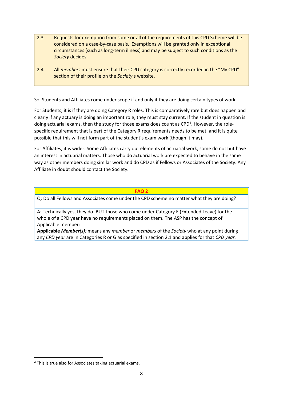- 2.3 Requests for exemption from some or all of the requirements of this CPD Scheme will be considered on a case-by-case basis. Exemptions will be granted only in exceptional circumstances (such as long-term illness) and may be subject to such conditions as the *Society* decides.
- 2.4 All *members* must ensure that their CPD category is correctly recorded in the "My CPD" section of their profile on the *Society*'s website.

So, Students and Affiliates come under scope if and only if they are doing certain types of work.

For Students, it is if they are doing Category R roles. This is comparatively rare but does happen and clearly if any actuary is doing an important role, they must stay current. If the student in question is doing actuarial exams, then the study for those exams does count as CPD<sup>2</sup>. However, the rolespecific requirement that is part of the Category R requirements needs to be met, and it is quite possible that this will not form part of the student's exam work (though it may).

For Affiliates, it is wider. Some Affiliates carry out elements of actuarial work, some do not but have an interest in actuarial matters. Those who do actuarial work are expected to behave in the same way as other members doing similar work and do CPD as if Fellows or Associates of the Society. Any Affiliate in doubt should contact the Society.

#### **FAQ 2**

Q: Do all Fellows and Associates come under the CPD scheme no matter what they are doing?

A: Technically yes, they do. BUT those who come under Category E (Extended Leave) for the whole of a CPD year have no requirements placed on them. The ASP has the concept of Applicable member:

**Applicable** *Member(s):* means any *member* or *members* of the *Society* who at any point during any *CPD year* are in Categories R or G as specified in section 2.1 and applies for that *CPD year.*

<sup>2</sup> This is true also for Associates taking actuarial exams.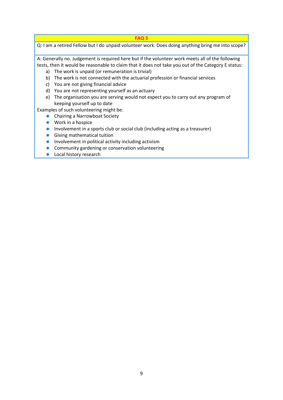Q: I am a retired Fellow but I do unpaid volunteer work. Does doing anything bring me into scope?

A: Generally no. Judgement is required here but if the volunteer work meets all of the following tests, then it would be reasonable to claim that it does not take you out of the Category E status:

- a) The work is unpaid (or remuneration is trivial)
- b) The work is not connected with the actuarial profession or financial services
- c) You are not giving financial advice
- d) You are not representing yourself as an actuary
- e) The organisation you are serving would not expect you to carry out any program of keeping yourself up to date

Examples of such volunteering might be:

- **★** Chairing a Narrowboat Society
- **\*** Work in a hospice
- $*$  Involvement in a sports club or social club (including acting as a treasurer)
- Giving mathematical tuition
- $*$  Involvement in political activity including activism
- **\*** Community gardening or conservation volunteering
- **\*** Local history research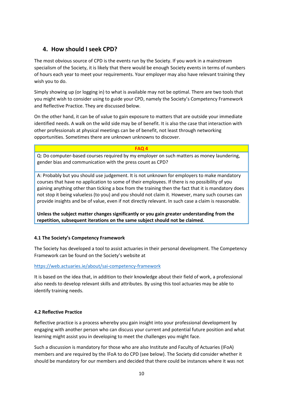## **4. How should I seek CPD?**

The most obvious source of CPD is the events run by the Society. If you work in a mainstream specialism of the Society, it is likely that there would be enough Society events in terms of numbers of hours each year to meet your requirements. Your employer may also have relevant training they wish you to do.

Simply showing up (or logging in) to what is available may not be optimal. There are two tools that you might wish to consider using to guide your CPD, namely the Society's Competency Framework and Reflective Practice. They are discussed below.

On the other hand, it can be of value to gain exposure to matters that are outside your immediate identified needs. A walk on the wild side may be of benefit. It is also the case that interaction with other professionals at physical meetings can be of benefit, not least through networking opportunities. Sometimes there are unknown unknowns to discover.

#### **FAQ 4**

Q: Do computer-based courses required by my employer on such matters as money laundering, gender bias and communication with the press count as CPD?

A: Probably but you should use judgement. It is not unknown for employers to make mandatory courses that have no application to some of their employees. If there is no possibility of you gaining anything other than ticking a box from the training then the fact that it is mandatory does not stop it being valueless (to you) and you should not claim it. However, many such courses can provide insights and be of value, even if not directly relevant. In such case a claim is reasonable.

**Unless the subject matter changes significantly or you gain greater understanding from the repetition, subsequent iterations on the same subject should not be claimed.**

#### **4.1 The Society's Competency Framework**

The Society has developed a tool to assist actuaries in their personal development. The Competency Framework can be found on the Society's website at

#### <https://web.actuaries.ie/about/sai-competency-framework>

It is based on the idea that, in addition to their knowledge about their field of work, a professional also needs to develop relevant skills and attributes. By using this tool actuaries may be able to identify training needs.

#### **4.2 Reflective Practice**

Reflective practice is a process whereby you gain insight into your professional development by engaging with another person who can discuss your current and potential future position and what learning might assist you in developing to meet the challenges you might face.

Such a discussion is mandatory for those who are also Institute and Faculty of Actuaries (IFoA) members and are required by the IFoA to do CPD (see below). The Society did consider whether it should be mandatory for our members and decided that there could be instances where it was not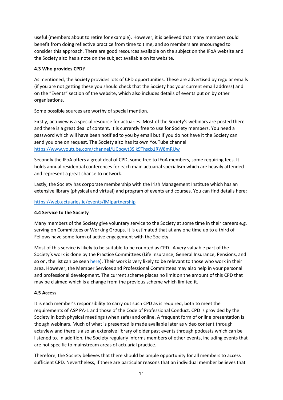useful (members about to retire for example). However, it is believed that many members could benefit from doing reflective practice from time to time, and so members are encouraged to consider this approach. There are good resources available on the subject on the IFoA website and the Society also has a note on the subject available on its website.

#### **4.3 Who provides CPD?**

As mentioned, the Society provides lots of CPD opportunities. These are advertised by regular emails (if you are not getting these you should check that the Society has your current email address) and on the "Events" section of the website, which also includes details of events put on by other organisations.

Some possible sources are worthy of special mention.

Firstly, actuview is a special resource for actuaries. Most of the Society's webinars are posted there and there is a great deal of content. It is currently free to use for Society members. You need a password which will have been notified to you by email but if you do not have it the Society can send you one on request. The Society also has its own YouTube channel <https://www.youtube.com/channel/UCbqwt3Slk9Thscb1RW8mRUw>

Secondly the IFoA offers a great deal of CPD, some free to IFoA members, some requiring fees. It holds annual residential conferences for each main actuarial specialism which are heavily attended and represent a great chance to network.

Lastly, the Society has corporate membership with the Irish Management Institute which has an extensive library (physical and virtual) and program of events and courses. You can find details here:

#### <https://web.actuaries.ie/events/IMIpartnership>

#### **4.4 Service to the Society**

Many members of the Society give voluntary service to the Society at some time in their careers e.g. serving on Committees or Working Groups. It is estimated that at any one time up to a third of Fellows have some form of active engagement with the Society.

Most of this service is likely to be suitable to be counted as CPD. A very valuable part of the Society's work is done by the Practice Committees (Life Insurance, General Insurance, Pensions, and so on, the list can be seen [here\)](https://web.actuaries.ie/about/society-actuaries-ireland/organisational-structure). Their work is very likely to be relevant to those who work in their area. However, the Member Services and Professional Committees may also help in your personal and professional development. The current scheme places no limit on the amount of this CPD that may be claimed which is a change from the previous scheme which limited it.

#### **4.5 Access**

It is each member's responsibility to carry out such CPD as is required, both to meet the requirements of ASP PA-1 and those of the Code of Professional Conduct. CPD is provided by the Society in both physical meetings (when safe) and online. A frequent form of online presentation is though webinars. Much of what is presented is made available later as video content through actuview and there is also an extensive library of older past events through podcasts which can be listened to. In addition, the Society regularly informs members of other events, including events that are not specific to mainstream areas of actuarial practice.

Therefore, the Society believes that there should be ample opportunity for all members to access sufficient CPD. Nevertheless, if there are particular reasons that an individual member believes that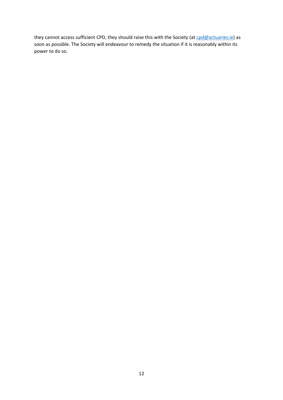they cannot access sufficient CPD, they should raise this with the Society (at [cpd@actuaries.ie\)](mailto:cpd@actuaries.ie) as soon as possible. The Society will endeavour to remedy the situation if it is reasonably within its power to do so.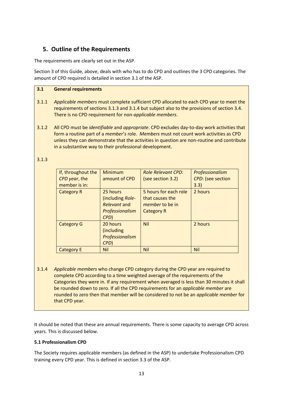## **5. Outline of the Requirements**

The requirements are clearly set out in the ASP.

Section 3 of this Guide, above, deals with who has to do CPD and outlines the 3 CPD categories. The amount of CPD required is detailed in section 3.1 of the ASP.

#### **3.1 General requirements**

- 3.1.1 *Applicable members* must complete sufficient CPD allocated to each CPD year to meet the requirements of sections 3.1.3 and 3.1.4 but subject also to the provisions of section 3.4. There is no CPD requirement for non-*applicable members*.
- 3.1.2 All CPD must be *identifiable* and *appropriate*. CPD excludes day-to-day work activities that form a routine part of a *member*'*s* role. *Members* must not count work activities as CPD unless they can demonstrate that the activities in question are non-routine and contribute in a substantive way to their professional development.

#### 3.1.3

| If, throughout the<br>CPD year, the<br>member is in: | Minimum<br>amount of CPD                                                | <b>Role Relevant CPD:</b><br>(see section 3.2)                                          | Professionalism<br>CPD: (see section<br>3.3) |
|------------------------------------------------------|-------------------------------------------------------------------------|-----------------------------------------------------------------------------------------|----------------------------------------------|
| <b>Category R</b>                                    | 25 hours<br>(including Role-<br>Relevant and<br>Professionalism<br>CPD) | 5 hours for each role<br>that causes the<br><i>member</i> to be in<br><b>Category R</b> | 2 hours                                      |
| <b>Category G</b>                                    | 20 hours<br>(including<br>Professionalism<br>CPD)                       | <b>Nil</b>                                                                              | 2 hours                                      |
| Category E                                           | <b>Nil</b>                                                              | <b>Nil</b>                                                                              | <b>Nil</b>                                   |

3.1.4 *Applicable members* who change CPD category during the CPD year are required to complete CPD according to a time weighted average of the requirements of the Categories they were in. If any requirement when averaged is less than 30 minutes it shall be rounded down to zero. If all the CPD requirements for an *applicable member* are rounded to zero then that member will be considered to not be an *applicable member* for that CPD year.

It should be noted that these are annual requirements. There is some capacity to average CPD across years. This is discussed below.

#### **5.1 Professionalism CPD**

The Society requires applicable members (as defined in the ASP) to undertake Professionalism CPD training every CPD year. This is defined in section 3.3 of the ASP.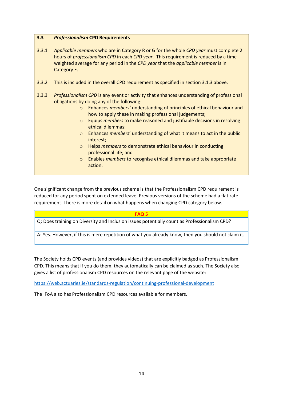#### **3.3** *Professionalism* **CPD Requirements**

- 3.3.1 *Applicable members* who are in Category R or G for the whole *CPD year* must complete 2 hours of *professionalism CPD* in each *CPD year*. This requirement is reduced by a time weighted average for any period in the *CPD year* that the *applicable member* is in Category E.
- 3.3.2 This is included in the overall CPD requirement as specified in section 3.1.3 above.
- 3.3.3 *Professionalism CPD* is any event or activity that enhances understanding of professional obligations by doing any of the following:
	- o Enhances *members'* understanding of principles of ethical behaviour and how to apply these in making professional judgements;
	- o Equips *members* to make reasoned and justifiable decisions in resolving ethical dilemmas;
	- o Enhances *members*' understanding of what it means to act in the public interest;
	- o Helps *members* to demonstrate ethical behaviour in conducting professional life; and
	- o Enables *members* to recognise ethical dilemmas and take appropriate action.

One significant change from the previous scheme is that the Professionalism CPD requirement is reduced for any period spent on extended leave. Previous versions of the scheme had a flat rate requirement. There is more detail on what happens when changing CPD category below.

#### **FAQ 5**

Q: Does training on Diversity and Inclusion issues potentially count as Professionalism CPD?

A: Yes. However, if this is mere repetition of what you already know, then you should not claim it.

The Society holds CPD events (and provides videos) that are explicitly badged as Professionalism CPD. This means that if you do them, they automatically can be claimed as such. The Society also gives a list of professionalism CPD resources on the relevant page of the website:

<https://web.actuaries.ie/standards-regulation/continuing-professional-development>

The IFoA also has Professionalism CPD resources available for members.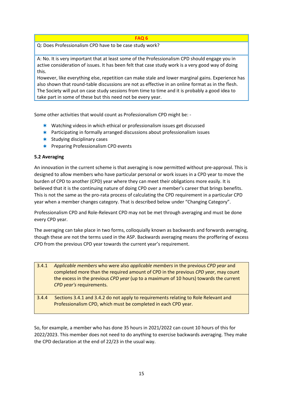Q: Does Professionalism CPD have to be case study work?

A: No. It is very important that at least some of the Professionalism CPD should engage you in active consideration of issues. It has been felt that case study work is a very good way of doing this.

However, like everything else, repetition can make stale and lower marginal gains. Experience has also shown that round-table discussions are not as effective in an online format as in the flesh. The Society will put on case study sessions from time to time and it is probably a good idea to take part in some of these but this need not be every year.

Some other activities that would count as Professionalism CPD might be: -

- **★** Watching videos in which ethical or professionalism issues get discussed
- \* Participating in formally arranged discussions about professionalism issues
- $\star$  Studying disciplinary cases
- $*$  Preparing Professionalism CPD events

#### **5.2 Averaging**

An innovation in the current scheme is that averaging is now permitted without pre-approval. This is designed to allow members who have particular personal or work issues in a CPD year to move the burden of CPD to another (CPD) year where they can meet their obligations more easily. It is believed that it is the continuing nature of doing CPD over a member's career that brings benefits. This is not the same as the pro-rata process of calculating the CPD requirement in a particular CPD year when a member changes category. That is described below under "Changing Category".

Professionalism CPD and Role-Relevant CPD may not be met through averaging and must be done every CPD year.

The averaging can take place in two forms, colloquially known as backwards and forwards averaging, though these are not the terms used in the ASP. Backwards averaging means the proffering of excess CPD from the previous CPD year towards the current year's requirement.

- 3.4.1 *Applicable members* who were also *applicable members* in the previous *CPD year* and completed more than the required amount of CPD in the previous *CPD year*, may count the excess in the previous *CPD year* (up to a maximum of 10 hours) towards the current *CPD year's* requirements.
- 3.4.4 Sections 3.4.1 and 3.4.2 do not apply to requirements relating to Role Relevant and Professionalism CPD, which must be completed in each CPD year.

So, for example, a member who has done 35 hours in 2021/2022 can count 10 hours of this for 2022/2023. This member does not need to do anything to exercise backwards averaging. They make the CPD declaration at the end of 22/23 in the usual way.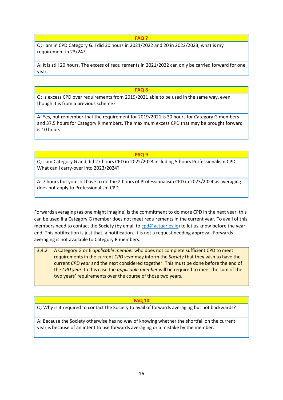Q: I am in CPD Category G. I did 30 hours in 2021/2022 and 20 in 2022/2023, what is my requirement in 23/24?

A: It is still 20 hours. The excess of requirements in 2021/2022 can only be carried forward for one year.

#### **FAQ 8**

Q: Is excess CPD over requirements from 2019/2021 able to be used in the same way, even though it is from a previous scheme?

A: Yes, but remember that the requirement for 2019/2021 is 30 hours for Category G members and 37.5 hours for Category R members. The maximum excess CPD that may be brought forward is 10 hours.

**FAQ 9**

Q: I am Category G and did 27 hours CPD in 2022/2023 including 5 hours Professionalism CPD. What can I carry-over into 2023/2024?

A: 7 hours but you still have to do the 2 hours of Professionalism CPD in 2023/2024 as averaging does not apply to Professionalism CPD.

Forwards averaging (as one might imagine) is the commitment to do more CPD in the next year, this can be used if a Category G member does not meet requirements in the current year. To avail of this, members need to contact the Society (by email t[o cpd@actuaries.ie\)](mailto:cpd@actuaries.ie) to let us know before the year end. This notification is just that, a notification. It is not a request needing approval. Forwards averaging is not available to Category R members.

3.4.2 A Category G or E *applicable member* who does not complete sufficient CPD to meet requirements in the current *CPD year* may inform the *Society* that they wish to have the current *CPD year* and the next considered together. This must be done before the end of the *CPD year.* In this case the *applicable member* will be required to meet the sum of the two years' requirements over the course of those two years.

#### **FAQ 10**

Q: Why is it required to contact the Society to avail of forwards averaging but not backwards?

A: Because the Society otherwise has no way of knowing whether the shortfall on the current year is because of an intent to use forwards averaging or a mistake by the member.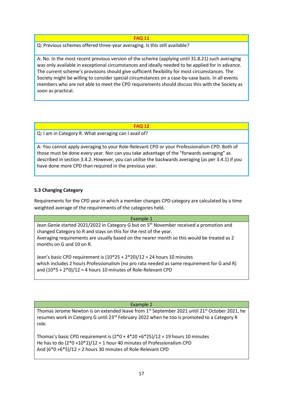Q: Previous schemes offered three-year averaging. Is this still available?

A: No. In the most recent previous version of the scheme (applying until 31.8.21) such averaging was only available in exceptional circumstances and ideally needed to be applied for in advance. The current scheme's provisions should give sufficient flexibility for most circumstances. The Society might be willing to consider special circumstances on a case-by-case basis. In all events members who are not able to meet the CPD requirements should discuss this with the Society as soon as practical.

#### **FAQ 12**

Q: I am in Category R. What averaging can I avail of?

A: You cannot apply averaging to your Role-Relevant CPD or your Professionalism CPD. Both of those must be done every year. Nor can you take advantage of the "forwards averaging" as described in section 3.4.2. However, you can utilise the backwards averaging (as per 3.4.1) if you have done more CPD than required in the previous year.

#### **5.3 Changing Category**

Requirements for the CPD year in which a member changes CPD category are calculated by a time weighted average of the requirements of the categories held.

#### Example 1

Jean Genie started 2021/2022 in Category G but on  $5<sup>th</sup>$  November received a promotion and changed Category to R and stays on this for the rest of the year. Averaging requirements are usually based on the nearer month so this would be treated as 2 months on G and 10 on R.

Jean's basic CPD requirement is (10\*25 + 2\*20)/12 = 24 hours 10 minutes which includes 2 hours Professionalism (no pro rata needed as same requirement for G and R) and  $(10*5 + 2*0)/12 = 4$  hours 10 minutes of Role-Relevant CPD

#### Example 2

Thomas Jerome Newton is on extended leave from 1<sup>st</sup> September 2021 until 21<sup>st</sup> October 2021, he resumes work in Category G until  $23<sup>rd</sup>$  February 2022 when he too is promoted to a Category R role.

Thomas's basic CPD requirement is  $(2^*0 + 4^*20 + 6^*25)/12 = 19$  hours 10 minutes He has to do  $(2*0+10*2)/12 = 1$  hour 40 minutes of Professionalism CPD And (6\*0 +6\*5)/12 = 2 hours 30 minutes of Role-Relevant CPD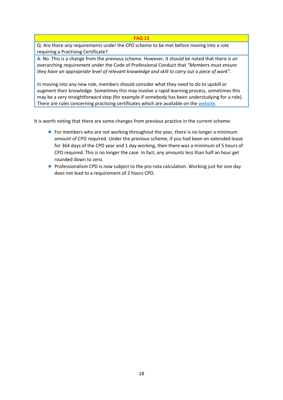Q: Are there any requirements under the CPD scheme to be met before moving into a role requiring a Practising Certificate?

A: No. This is a change from the previous scheme. However, it should be noted that there is an overarching requirement under the Code of Professional Conduct that *"Members must ensure they have an appropriate level of relevant knowledge and skill to carry out a piece of work".* 

In moving into any new role, members should consider what they need to do to upskill or augment their knowledge. Sometimes this may involve a rapid learning process, sometimes this may be a very straightforward step (for example if somebody has been understudying for a role). There are rules concerning practising certificates which are available on th[e website.](https://web.actuaries.ie/standards-regulation/practising-certificates)

It is worth noting that there are some changes from previous practice in the current scheme:

- For members who are not working throughout the year, there is no longer a minimum amount of CPD required. Under the previous scheme, if you had been on extended leave for 364 days of the CPD year and 1 day working, then there was a minimum of 5 hours of CPD required. This is no longer the case. In fact, any amounts less than half an hour get rounded down to zero.
- $*$  Professionalism CPD is now subject to the pro-rata calculation. Working just for one day does not lead to a requirement of 2 hours CPD.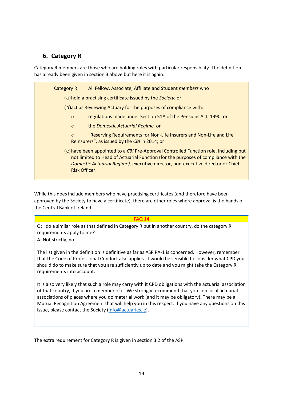## **6. Category R**

Category R members are those who are holding roles with particular responsibility. The definition has already been given in section 3 above but here it is again:

Category R All Fellow, Associate, Affiliate and Student *members* who (a)hold a practising certificate issued by the *Society*; or (b)act as Reviewing Actuary for the purposes of compliance with: o regulations made under Section 51A of the Pensions Act, 1990, or o the *Domestic Actuarial Regime,* or o "Reserving Requirements for Non-Life Insurers and Non-Life and Life Reinsurers", as issued by the *CBI* in 2014; or (c)have been appointed to a *CBI* Pre-Approval Controlled Function role, including but not limited to Head of Actuarial Function (for the purposes of compliance with the *Domestic Actuarial Regime),* executive director, non-executive director or Chief Risk Officer.

While this does include members who have practising certificates (and therefore have been approved by the Society to have a certificate), there are other roles where approval is the hands of the Central Bank of Ireland.

#### **FAQ 14**

Q: I do a similar role as that defined in Category R but in another country, do the category R requirements apply to me?

A: Not strictly, no.

The list given in the definition is definitive as far as ASP PA-1 is concerned. However, remember that the Code of Professional Conduct also applies. It would be sensible to consider what CPD you should do to make sure that you are sufficiently up to date and you might take the Category R requirements into account.

It is also very likely that such a role may carry with it CPD obligations with the actuarial association of that country, if you are a member of it. We strongly recommend that you join local actuarial associations of places where you do material work (and it may be obligatory). There may be a Mutual Recognition Agreement that will help you in this respect. If you have any questions on this issue, please contact the Society [\(info@actuaries.ie\)](mailto:info@actuaries.ie).

The extra requirement for Category R is given in section 3.2 of the ASP.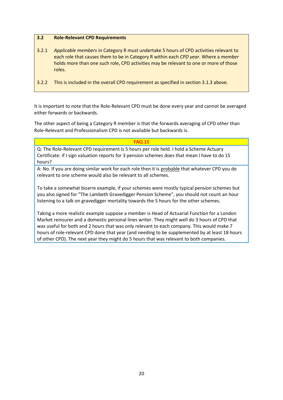#### **3.2 Role-Relevant CPD Requirements**

- 3.2.1 *Applicable members* in Category R must undertake 5 hours of CPD activities relevant to each role that causes them to be in Category R within each *CPD year*. Where a *member* holds more than one such role, CPD activities may be relevant to one or more of those roles.
- 3.2.2 This is included in the overall CPD requirement as specified in section 3.1.3 above.

It is important to note that the Role-Relevant CPD must be done every year and cannot be averaged either forwards or backwards.

The other aspect of being a Category R member is that the forwards averaging of CPD other than Role-Relevant and Professionalism CPD is not available but backwards is.

#### **FAQ 15**

Q: The Role-Relevant CPD requirement is 5 hours per role held. I hold a Scheme Actuary Certificate: if I sign valuation reports for 3 pension schemes does that mean I have to do 15 hours?

A: No. If you are doing similar work for each role then it is probable that whatever CPD you do relevant to one scheme would also be relevant to all schemes.

To take a somewhat bizarre example, if your schemes were mostly typical pension schemes but you also signed for "The Lambeth Gravedigger Pension Scheme", you should not count an hour listening to a talk on gravedigger mortality towards the 5 hours for the other schemes.

Taking a more realistic example suppose a member is Head of Actuarial Function for a London Market reinsurer and a domestic personal lines writer. They might well do 3 hours of CPD that was useful for both and 2 hours that was only relevant to each company. This would make 7 hours of role-relevant CPD done that year (and needing to be supplemented by at least 18 hours of other CPD). The next year they might do 5 hours that was relevant to both companies.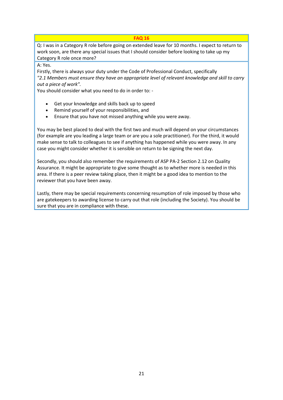Q: I was in a Category R role before going on extended leave for 10 months. I expect to return to work soon, are there any special issues that I should consider before looking to take up my Category R role once more?

A: Yes.

Firstly, there is always your duty under the Code of Professional Conduct, specifically *"2.1 Members must ensure they have an appropriate level of relevant knowledge and skill to carry out a piece of work".*

You should consider what you need to do in order to: -

- Get your knowledge and skills back up to speed
- Remind yourself of your responsibilities, and
- Ensure that you have not missed anything while you were away.

You may be best placed to deal with the first two and much will depend on your circumstances (for example are you leading a large team or are you a sole practitioner). For the third, it would make sense to talk to colleagues to see if anything has happened while you were away. In any case you might consider whether it is sensible on return to be signing the next day.

Secondly, you should also remember the requirements of ASP PA-2 Section 2.12 on Quality Assurance. It might be appropriate to give some thought as to whether more is needed in this area. If there is a peer review taking place, then it might be a good idea to mention to the reviewer that you have been away.

Lastly, there may be special requirements concerning resumption of role imposed by those who are gatekeepers to awarding license to carry out that role (including the Society). You should be sure that you are in compliance with these.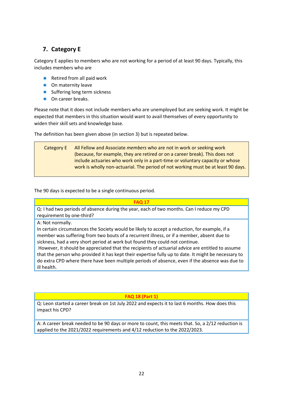## **7. Category E**

Category E applies to members who are not working for a period of at least 90 days. Typically, this includes members who are

- $*$  Retired from all paid work
- \* On maternity leave
- $*$  Suffering long term sickness
- \* On career breaks.

Please note that it does not include members who are unemployed but are seeking work. It might be expected that members in this situation would want to avail themselves of every opportunity to widen their skill sets and knowledge base.

The definition has been given above (in section 3) but is repeated below.

Category E All Fellow and Associate *members* who are not in work or seeking work (because, for example, they are retired or on a career break). This does not include actuaries who work only in a part-time or voluntary capacity or whose work is wholly non-actuarial. The period of not working must be at least 90 days.

The 90 days is expected to be a single continuous period.

#### **FAQ 17**

Q: I had two periods of absence during the year, each of two months. Can I reduce my CPD requirement by one-third?

A: Not normally.

In certain circumstances the Society would be likely to accept a reduction, for example, if a member was suffering from two bouts of a recurrent illness, or if a member, absent due to sickness, had a very short period at work but found they could not continue.

However, it should be appreciated that the recipients of actuarial advice are entitled to assume that the person who provided it has kept their expertise fully up to date. It might be necessary to do extra CPD where there have been multiple periods of absence, even if the absence was due to ill health.

**FAQ 18 (Part 1)**

Q: Leon started a career break on 1st July 2022 and expects it to last 6 months. How does this impact his CPD?

A: A career break needed to be 90 days or more to count, this meets that. So, a 2/12 reduction is applied to the 2021/2022 requirements and 4/12 reduction to the 2022/2023.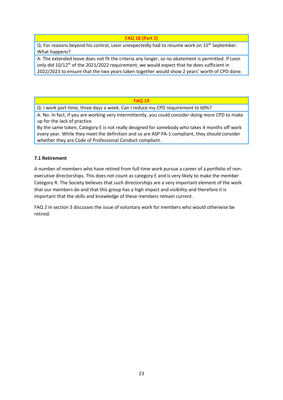#### **FAQ 18 (Part 2)**

Q: For reasons beyond his control, Leon unexpectedly had to resume work on 15<sup>th</sup> September. What happens?

A: The extended leave does not fit the criteria any longer, so no abatement is permitted. If Leon only did  $10/12$ <sup>th</sup> of the 2021/2022 requirement, we would expect that he does sufficient in 2022/2023 to ensure that the two years taken together would show 2 years' worth of CPD done.

#### **FAQ 19**

Q: I work part-time, three days a week. Can I reduce my CPD requirement to 60%?

A: No. In fact, if you are working very intermittently, you could consider doing more CPD to make up for the lack of practice.

By the same token, Category E is not really designed for somebody who takes 4 months off work every year. While they meet the definition and so are ASP PA-1 compliant, they should consider whether they are Code of Professional Conduct compliant.

#### **7.1 Retirement**

A number of members who have retired from full-time work pursue a career of a portfolio of nonexecutive directorships. This does not count as category E and is very likely to make the member Category R. The Society believes that such directorships are a very important element of the work that our members do and that this group has a high impact and visibility and therefore it is important that the skills and knowledge of these members remain current.

FAQ 2 in section 3 discusses the issue of voluntary work for members who would otherwise be retired.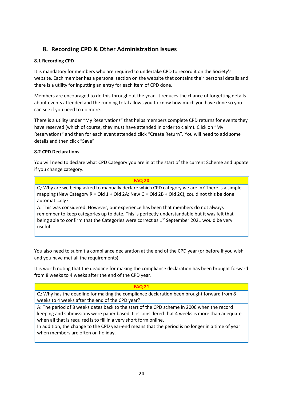## **8. Recording CPD & Other Administration Issues**

#### **8.1 Recording CPD**

It is mandatory for members who are required to undertake CPD to record it on the Society's website. Each member has a personal section on the website that contains their personal details and there is a utility for inputting an entry for each item of CPD done.

Members are encouraged to do this throughout the year. It reduces the chance of forgetting details about events attended and the running total allows you to know how much you have done so you can see if you need to do more.

There is a utility under "My Reservations" that helps members complete CPD returns for events they have reserved (which of course, they must have attended in order to claim). Click on "My Reservations" and then for each event attended click "Create Return". You will need to add some details and then click "Save".

#### **8.2 CPD Declarations**

You will need to declare what CPD Category you are in at the start of the current Scheme and update if you change category.

| <b>FAO 20</b>                                                                                 |
|-----------------------------------------------------------------------------------------------|
| Q: Why are we being asked to manually declare which CPD category we are in? There is a simple |
| mapping (New Category R = Old 1 + Old 2A; New G = Old 2B + Old 2C), could not this be done    |
| automatically?                                                                                |
|                                                                                               |

A: This was considered. However, our experience has been that members do not always remember to keep categories up to date. This is perfectly understandable but it was felt that being able to confirm that the Categories were correct as  $1<sup>st</sup>$  September 2021 would be very useful.

You also need to submit a compliance declaration at the end of the CPD year (or before if you wish and you have met all the requirements).

It is worth noting that the deadline for making the compliance declaration has been brought forward from 8 weeks to 4 weeks after the end of the CPD year.

#### **FAQ 21**

Q: Why has the deadline for making the compliance declaration been brought forward from 8 weeks to 4 weeks after the end of the CPD year?

A: The period of 8 weeks dates back to the start of the CPD scheme in 2006 when the record keeping and submissions were paper based. It is considered that 4 weeks is more than adequate when all that is required is to fill in a very short form online.

In addition, the change to the CPD year-end means that the period is no longer in a time of year when members are often on holiday.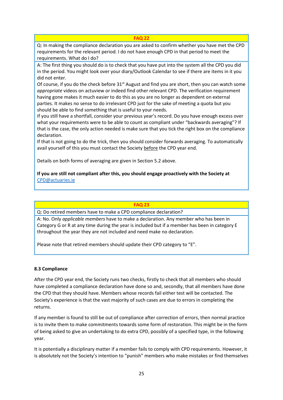Q: In making the compliance declaration you are asked to confirm whether you have met the CPD requirements for the relevant period. I do not have enough CPD in that period to meet the requirements. What do I do?

A: The first thing you should do is to check that you have put into the system all the CPD you did in the period. You might look over your diary/Outlook Calendar to see if there are items in it you did not enter.

Of course, if you do the check before 31<sup>st</sup> August and find you are short, then you can watch some *appropriate* videos on actuview or indeed find other relevant CPD. The verification requirement having gone makes it much easier to do this as you are no longer as dependent on external parties. It makes no sense to do irrelevant CPD just for the sake of meeting a quota but you should be able to find something that is useful to your needs.

If you still have a shortfall, consider your previous year's record. Do you have enough excess over what your requirements were to be able to count as compliant under "backwards averaging"? If that is the case, the only action needed is make sure that you tick the right box on the compliance declaration.

If that is not going to do the trick, then you should consider forwards averaging. To automatically avail yourself of this you must contact the Society before the CPD year end.

Details on both forms of averaging are given in Section 5.2 above.

#### **If you are still not compliant after this, you should engage proactively with the Society at** [CPD@actuaries.ie](mailto:CPD@actuaries.ie)

#### **FAQ 23**

Q: Do retired members have to make a CPD compliance declaration?

A: No. Only *applicable members* have to make a declaration. Any member who has been in Category G or R at any time during the year is included but if a member has been in category E throughout the year they are not included and need make no declaration.

Please note that retired members should update their CPD category to "E".

#### **8.3 Compliance**

After the CPD year end, the Society runs two checks, firstly to check that all members who should have completed a compliance declaration have done so and, secondly, that all members have done the CPD that they should have. Members whose records fail either test will be contacted. The Society's experience is that the vast majority of such cases are due to errors in completing the returns.

If any member is found to still be out of compliance after correction of errors, then normal practice is to invite them to make commitments towards some form of restoration. This might be in the form of being asked to give an undertaking to do extra CPD, possibly of a specified type, in the following year.

It is potentially a disciplinary matter if a member fails to comply with CPD requirements. However, it is absolutely not the Society's intention to "punish" members who make mistakes or find themselves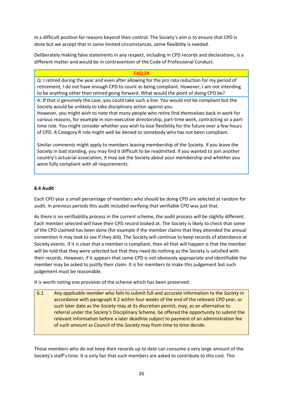in a difficult position for reasons beyond their control. The Society's aim is to ensure that CPD is done but we accept that in some limited circumstances, some flexibility is needed.

Deliberately making false statements in any respect, including in CPD records and declarations, is a different matter and would be in contravention of the Code of Professional Conduct.

#### **FAQ 24**

Q: I retired during the year and even after allowing for the pro rata reduction for my period of retirement, I do not have enough CPD to count as being compliant. However, I am not intending to be anything other than retired going forward. What would the point of doing CPD be?

A: If that is genuinely the case, you could take such a line. You would not be compliant but the Society would be unlikely to take disciplinary action against you.

However, you might wish to note that many people who retire find themselves back in work for various reasons, for example in non-executive directorship, part-time work, contracting or a parttime role. You might consider whether you wish to lose flexibility for the future over a few hours of CPD. A Category R role might well be denied to somebody who has not been compliant.

Similar comments might apply to members leaving membership of the Society. If you leave the Society in bad standing, you may find it difficult to be readmitted. If you wanted to join another country's actuarial association, it may ask the Society about your membership and whether you were fully compliant with all requirements.

#### **8.4 Audit**

Each CPD year a small percentage of members who should be doing CPD are selected at random for audit. In previous periods this audit included verifying that verifiable CPD was just that.

As there is no verifiability process in the current scheme, the audit process will be slightly different. Each member selected will have their CPD record looked at. The Society is likely to check that some of the CPD claimed has been done (for example if the member claims that they attended the annual convention it may look to see if they did). The Society will continue to keep records of attendance at Society events. If it is clear that a member is compliant, then all that will happen is that the member will be told that they were selected but that they need do nothing as the Society is satisfied with their records. However, if it appears that some CPD is not obviously appropriate and identifiable the member may be asked to justify their claim. It is for members to make this judgement but such judgement must be reasonable.

It is worth noting one provision of the scheme which has been preserved:

6.1 Any *applicable member* who fails to submit full and accurate information to the *Society* in accordance with paragraph 4.2 within four weeks of the end of the relevant *CPD year*, or such later date as the *Society* may at its discretion permit, may, as an alternative to referral under the *Society*'s Disciplinary Scheme, be offered the opportunity to submit the relevant information before a later deadline subject to payment of an administration fee of such amount as Council of the *Society* may from time to time decide.

Those members who do not keep their records up to date can consume a very large amount of the Society's staff's time. It is only fair that such members are asked to contribute to this cost. This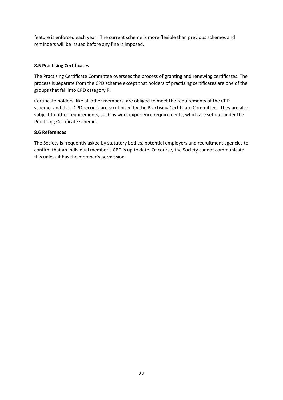feature is enforced each year. The current scheme is more flexible than previous schemes and reminders will be issued before any fine is imposed.

#### **8.5 Practising Certificates**

The Practising Certificate Committee oversees the process of granting and renewing certificates. The process is separate from the CPD scheme except that holders of practising certificates are one of the groups that fall into CPD category R.

Certificate holders, like all other members, are obliged to meet the requirements of the CPD scheme, and their CPD records are scrutinised by the Practising Certificate Committee. They are also subject to other requirements, such as work experience requirements, which are set out under the Practising Certificate scheme.

#### **8.6 References**

The Society is frequently asked by statutory bodies, potential employers and recruitment agencies to confirm that an individual member's CPD is up to date. Of course, the Society cannot communicate this unless it has the member's permission.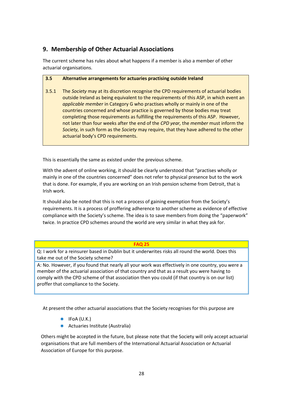## **9. Membership of Other Actuarial Associations**

The current scheme has rules about what happens if a member is also a member of other actuarial organisations.

#### **3.5 Alternative arrangements for actuaries practising outside Ireland**

3.5.1 The *Society* may at its discretion recognise the CPD requirements of actuarial bodies outside Ireland as being equivalent to the requirements of this ASP, in which event an *applicable member* in Category G who practises wholly or mainly in one of the countries concerned and whose practice is governed by those bodies may treat completing those requirements as fulfilling the requirements of this ASP. However, not later than four weeks after the end of the *CPD year,* the *member* must inform the *Society,* in such form as the *Society* may require, that they have adhered to the other actuarial body's CPD requirements.

This is essentially the same as existed under the previous scheme.

With the advent of online working, it should be clearly understood that "practises wholly or mainly in one of the countries concerned" does not refer to physical presence but to the work that is done. For example, if you are working on an Irish pension scheme from Detroit, that is Irish work.

It should also be noted that this is not a process of gaining exemption from the Society's requirements. It is a process of proffering adherence to another scheme as evidence of effective compliance with the Society's scheme. The idea is to save members from doing the "paperwork" twice. In practice CPD schemes around the world are very similar in what they ask for.

#### **FAQ 25**

Q: I work for a reinsurer based in Dublin but it underwrites risks all round the world. Does this take me out of the Society scheme?

A: No. However, if you found that nearly all your work was effectively in one country, you were a member of the actuarial association of that country and that as a result you were having to comply with the CPD scheme of that association then you could (if that country is on our list) proffer that compliance to the Society.

At present the other actuarial associations that the Society recognises for this purpose are

- $*$  IFoA (U.K.)
- $\star$  Actuaries Institute (Australia)

Others might be accepted in the future, but please note that the Society will only accept actuarial organisations that are full members of the International Actuarial Association or Actuarial Association of Europe for this purpose.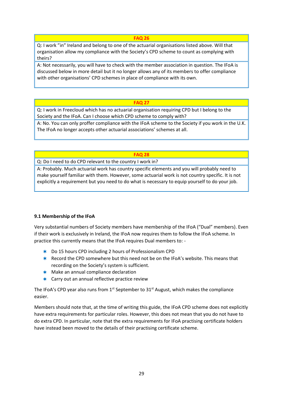Q: I work "in" Ireland and belong to one of the actuarial organisations listed above. Will that organisation allow my compliance with the Society's CPD scheme to count as complying with theirs?

A: Not necessarily, you will have to check with the member association in question. The IFoA is discussed below in more detail but it no longer allows any of its members to offer compliance with other organisations' CPD schemes in place of compliance with its own.

#### **FAQ 27**

Q: I work in Freecloud which has no actuarial organisation requiring CPD but I belong to the Society and the IFoA. Can I choose which CPD scheme to comply with?

A: No. You can only proffer compliance with the IFoA scheme to the Society if you work in the U.K. The IFoA no longer accepts other actuarial associations' schemes at all.

#### **FAQ 28**

Q: Do I need to do CPD relevant to the country I work in?

A: Probably. Much actuarial work has country specific elements and you will probably need to make yourself familiar with them. However, some actuarial work is not country specific. It is not explicitly a requirement but you need to do what is necessary to equip yourself to do your job.

#### **9.1 Membership of the IFoA**

Very substantial numbers of Society members have membership of the IFoA ("Dual" members). Even if their work is exclusively in Ireland, the IFoA now requires them to follow the IFoA scheme. In practice this currently means that the IFoA requires Dual members to: -

- Do 15 hours CPD including 2 hours of Professionalism CPD
- **K** Record the CPD somewhere but this need not be on the IFoA's website. This means that recording on the Society's system is sufficient.
- $*$  Make an annual compliance declaration
- $\star$  Carry out an annual reflective practice review

The IFoA's CPD year also runs from 1<sup>st</sup> September to 31<sup>st</sup> August, which makes the compliance easier.

Members should note that, at the time of writing this guide, the IFoA CPD scheme does not explicitly have extra requirements for particular roles. However, this does not mean that you do not have to do extra CPD. In particular, note that the extra requirements for IFoA practising certificate holders have instead been moved to the details of their practising certificate scheme.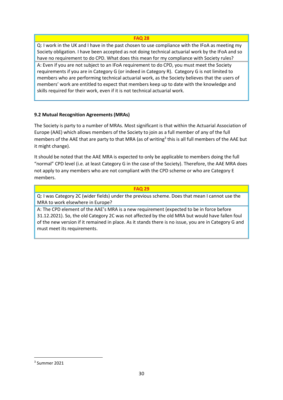Q: I work in the UK and I have in the past chosen to use compliance with the IFoA as meeting my Society obligation. I have been accepted as not doing technical actuarial work by the IFoA and so have no requirement to do CPD. What does this mean for my compliance with Society rules? A: Even if you are not subject to an IFoA requirement to do CPD, you must meet the Society requirements if you are in Category G (or indeed in Category R). Category G is not limited to members who are performing technical actuarial work, as the Society believes that the users of members' work are entitled to expect that members keep up to date with the knowledge and skills required for their work, even if it is not technical actuarial work.

#### **9.2 Mutual Recognition Agreements (MRAs)**

The Society is party to a number of MRAs. Most significant is that within the Actuarial Association of Europe (AAE) which allows members of the Society to join as a full member of any of the full members of the AAE that are party to that MRA (as of writing<sup>3</sup> this is all full members of the AAE but it might change).

It should be noted that the AAE MRA is expected to only be applicable to members doing the full "normal" CPD level (i.e. at least Category G in the case of the Society). Therefore, the AAE MRA does not apply to any members who are not compliant with the CPD scheme or who are Category E members.

#### **FAQ 29**

Q: I was Category 2C (wider fields) under the previous scheme. Does that mean I cannot use the MRA to work elsewhere in Europe?

A: The CPD element of the AAE's MRA is a new requirement (expected to be in force before 31.12.2021). So, the old Category 2C was not affected by the old MRA but would have fallen foul of the new version if it remained in place. As it stands there is no issue, you are in Category G and must meet its requirements.

<sup>3</sup> Summer 2021